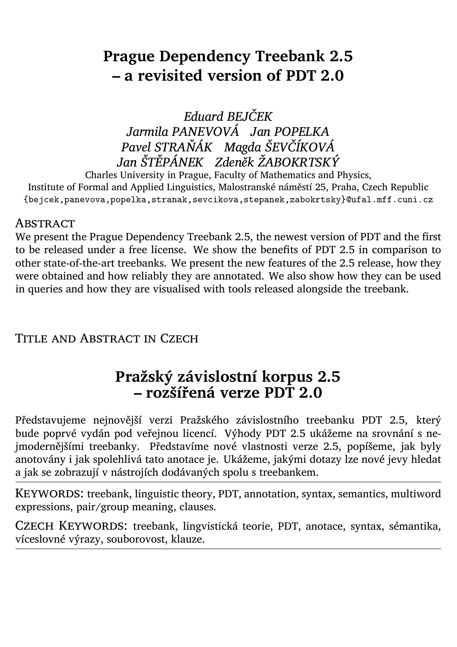# **Prague Dependency Treebank 2.5 – a revisited version of PDT 2.0**

*Eduard BEJČEK Jarmila PANEVOVÁ Jan POPELKA Pavel STRAŇÁK Magda ŠEVČÍKOVÁ Jan ŠTĚPÁNEK Zdeněk ŽABOKRTSKÝ*

Charles University in Prague, Faculty of Mathematics and Physics, Institute of Formal and Applied Linguistics, Malostranské náměstí 25, Praha, Czech Republic {bejcek,panevova,popelka,stranak,sevcikova,stepanek,zabokrtsky}@ufal.mff.cuni.cz

#### **ABSTRACT**

We present the Prague Dependency Treebank 2.5, the newest version of PDT and the first to be released under a free license. We show the benefits of PDT 2.5 in comparison to other state-of-the-art treebanks. We present the new features of the 2.5 release, how they were obtained and how reliably they are annotated. We also show how they can be used in queries and how they are visualised with tools released alongside the treebank.

TITLE AND ABSTRACT IN CZECH

## **Pražský závislostní korpus 2.5 – rozšířená verze PDT 2.0**

Představujeme nejnovější verzi Pražského závislostního treebanku PDT 2.5, který bude poprvé vydán pod veřejnou licencí. Výhody PDT 2.5 ukážeme na srovnání s nejmodernějšími treebanky. Představíme nové vlastnosti verze 2.5, popíšeme, jak byly anotovány i jak spolehlivá tato anotace je. Ukážeme, jakými dotazy lze nové jevy hledat a jak se zobrazují v nástrojích dodávaných spolu s treebankem.

KEYWORDS: treebank, linguistic theory, PDT, annotation, syntax, semantics, multiword expressions, pair/group meaning, clauses.

Czech Keywords: treebank, lingvistická teorie, PDT, anotace, syntax, sémantika, víceslovné výrazy, souborovost, klauze.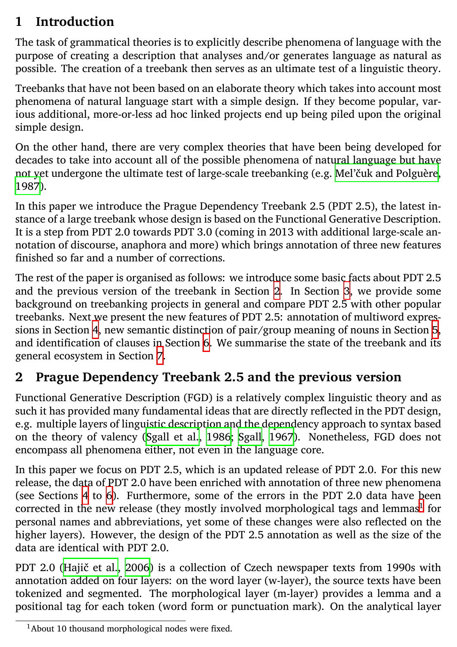#### **1 Introduction**

The task of grammatical theories is to explicitly describe phenomena of language with the purpose of creating a description that analyses and/or generates language as natural as possible. The creation of a treebank then serves as an [u](#page-1-0)ltimate test [of](#page-2-0) a linguistic theory.

Treebanks that have not been based on an elaborate theory which takes into account most phenomena of natural language start with a simple design. If they become popular, various additional, [m](#page-3-0)ore-or-less ad hoc linked projects end up being piled upon the origi[nal](#page-6-0) simple design.

<span id="page-1-0"></span>On the other hand, there are [v](#page-13-0)ery complex theories that have been being developed for decades to take into account all of the possible phenomena of natural language but have not yet undergone the ultimate test of large-scale treebanking (e.g. Mel'čuk and Polguère, 1987).

In this paper we introduce the Prague Dependency Treebank 2.5 (PDT 2.5), the latest instance of a large treebank [whose design is base](#page-15-0)[d on t](#page-15-1)h[e Func](#page-15-1)tional Generative Description. It is a step from PDT 2.0 towards PDT 3.0 (coming in 2013 with additional large-scale annotation of discourse, anaphora and more) which brings annotation of three new features finished so far and a number of corrections.

The rest of th[e p](#page-3-0)ap[er](#page-8-0) is organised as follows: we introduce some basic facts about PDT 2.5 and the previous version of the treebank in Section 2. In Section 3, we provide [so](#page-1-1)me background on treebanking projects in general and compare PDT 2.5 with other popular treebanks. Next we present the new features of PDT 2.5: annotation of multiword expressions in Section 4, new semantic distinction of pair/group meaning of nouns in Section 5, and identification of clauses in Section 6. We summarise the state of the treebank and its general e[cosystem in](#page-14-0) S[ection](#page-14-0) 7.

#### **2 Prague Dependency Treebank 2.5 and the previous version**

<span id="page-1-1"></span>Functional Generative Description (FGD) is a relatively complex linguistic theory and as such it has provided many fundamental ideas that are directly reflected in the PDT design, e.g. multiple layers of linguistic description and the dependency approach to syntax based on the theory of valency (Sgall et al., 1986; Sgall, 1967). Nonetheless, FGD does not encompass all phenomena either, not even in the language core.

In this paper we focus on PDT 2.5, which is an updated release of PDT 2.0. For this new release, the data of PDT 2.0 have been enriched with annotation of three new phenomena (see Sections 4 to 6). Furthermore, some of the errors in the PDT 2.0 data have been corrected in the new release (they mostly involved morphological tags and lemmas<sup>1</sup> for personal names and abbreviations, yet some of these changes were also reflected on the higher layers). However, the design of the PDT 2.5 annotation as well as the size of the data are identical with PDT 2.0.

PDT 2.0 (Hajič et al., 2006) is a collection of Czech newspaper texts from 1990s with annotation added on four layers: on the word layer (w-layer), the source texts have been tokenized and segmented. The morphological layer (m-layer) provides a lemma and a positional tag for each token (word form or punctuation mark). On the analytical layer

<sup>&</sup>lt;sup>1</sup>About 10 thousand morphological nodes were fixed.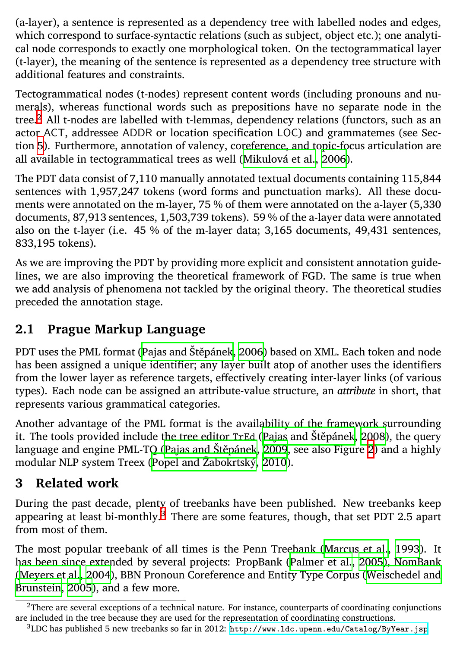(a-layer), a sentence is represented as a dependency tree with labelled nodes and edges, which correspond to surface-syntactic relations (such as subject, object etc.); one analytical node corresponds to exactly one morphological token. On the tectogrammatical layer (t-layer), the meaning of the sentence is represented as a dependency tree structure with additional features and constraints.

Tectogrammatical nodes (t-nodes) represent content words (including pronouns and numerals), whereas functional words such as prepositions have no separate node in the tree.<sup>2</sup> All t-nodes are labelled with t-lemmas, dependency relations (functors, such as an actor ACT, addressee ADDR [or location spec](#page-14-1)i[ficatio](#page-14-1)n LOC) and grammatemes (see Section 5). Furthermore, annotation of valency, coreference, and topic-focus articulation are all available in tectogrammatical trees as well (Mikulová et al., 2006).

The PDT data consist of 7,110 manually annotated textual documents containing 115,844 sentences with 1,957,247 tokens (word forms and punctuation marks). All these documents were annotated on the m-layer, 75 % of them were annotated on the a-layer (5,330 documents, 87,913 sentences, 1,503,739 tokens). 5[9 % of the a-layer da](#page-15-2)t[a wer](#page-15-2)e annotated also on the t-layer (i.e. 45 % [of the m-layer data](#page-15-3); [3,165](#page-15-3) documents, 49[,4](#page-11-0)31 sentences, 833,195 tokens).

<span id="page-2-0"></span>As we are improving the PDT by providing more explicit and consistent annotation guidelines, we are also improving the theoretical framework of FGD. The same is true when we add analysis of phenomena not tackled by the original theory. The theoretical studies preceded the annotation stage[.](#page-2-1)

### **2.1 Prague Markup Language**

PDT uses the PML format (Pajas and Štěpánek, 2006) bas[ed on XML. Ea](#page-15-4)c[h tok](#page-15-4)en and node [has been assigned a](#page-14-2) unique identifier; any layer built atop of another use[s the identifiers](#page-15-5) [from the lower l](#page-15-5)ayer as reference targets, effectively creating inter-layer links (of various types). Each node can be assigned an attribute-value structure, an *attribute* in short, that represents various grammatical categories.

<span id="page-2-1"></span>Another advantage of the PML format is th[e availability of the framework surroundi](http://www.ldc.upenn.edu/Catalog/ByYear.jsp)ng it. The tools provided include the tree editor TrEd (Pajas and Štěpánek, 2008), the query language and engine PML-TQ (Pajas and Štěpánek, 2009, see also Figure 2) and a highly modular NLP system Treex (Popel and Žabokrtský, 2010).

### **3 Related work**

During the past decade, plenty of treebanks have been published. New treebanks keep appearing at least bi-monthly. $3$  There are some features, though, that set PDT 2.5 apart from most of them.

The most popular treebank of all times is the Penn Treebank (Marcus et al., 1993). It has been since extended by several projects: PropBank (Palmer et al., 2005), NomBank (Meyers et al., 2004), BBN Pronoun Coreference and Entity Type Corpus (Weischedel and Brunstein, 2005), and a few more.

 $<sup>2</sup>$ There are several exceptions of a technical nature. For instance, counterparts of coordinating conjunctions</sup> are included in the tree because they are used for the representation of coordinating constructions.

<sup>3</sup>LDC has published 5 new treebanks so far in 2012: http://www.ldc.upenn.edu/Catalog/ByYear.jsp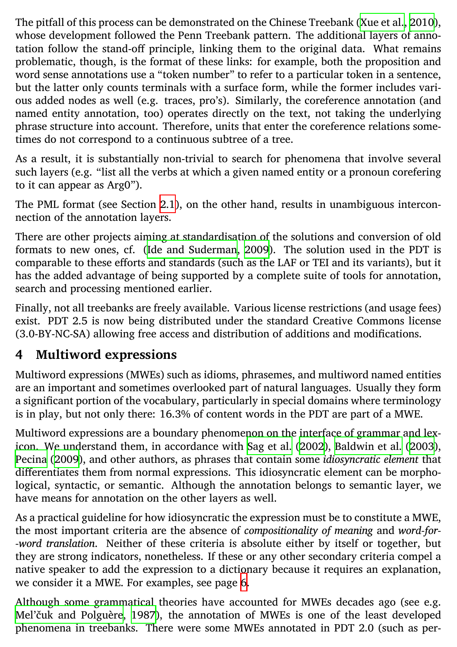The pitfall of this process can be demonstrated on the Chinese Treebank (Xue et al., 2010), whose development follow[ed the Penn Treeba](#page-14-3)n[k patt](#page-14-3)ern. The additional layers of annotation follow the stand-off principle, linking them to the original data. What remains problematic, though, is the format of these links: for example, both the proposition and word sense annotations use a "token number" to refer to a particular token in a sentence, but the latter only counts terminals with a surface form, while the former includes various added nodes as well (e.g. traces, pro's). Similarly, the coreference annotation (and named entity annotation, too) operates directly on the text, not taking the underlying phrase structure into account. Therefore, units that enter the coreference relations sometimes do not correspond to a continuous subtree of a tree.

<span id="page-3-0"></span>As a result, it is substantially non-trivial to search for phenomena that involve several such layers (e.g. "list all the verbs at which a given named entity or a pronoun corefering to it can appear as Arg0").

The PML format (see Section 2.1), on the other hand, results in unambiguous interconnection of the annotation layers.

There are other projects aiming at standardisati[on of the solution](#page-15-6)s [and conversion of ol](#page-14-4)d [format](#page-15-7)s [to ne](#page-15-7)w ones, cf. (Ide and Suderman, 2009). The solution used in the PDT is comparable to these efforts and standards (such as the LAF or TEI and its variants), but it has the added advantage of being supported by a complete suite of tools for annotation, search and processing mentioned earlier.

Finally, not all treebanks are freely available. Various license restrictions (and usage fees) exist. PDT 2.5 is now being distributed under the standard Creative Commons license (3.0-BY-NC-SA) allowing free access and distribution of additions and modifications.

#### **4 Multiword expressions**

Multiword expressions (MWEs) such as idioms, [p](#page-5-0)hrasemes, and multiword named entities are an important and sometimes overlooked part of natural languages. Usually they form [a significant portion of](#page-14-5) t[he voc](#page-14-5)abulary, particularly in special domains where terminology is in play, but not only there: 16.3% of content words in the PDT are part of a MWE.

Multiword expressions are a boundary phenomenon on the interface of grammar and lexicon. We understand them, in accordance with Sag et al. (2002), Baldwin et al. (2003), Pecina (2009), and other authors, as phrases that contain some *idiosyncratic element* that differentiates them from normal expressions. This idiosyncratic element can be morphological, syntactic, or semantic. Although the annotation belongs to semantic layer, we have means for annotation on the other layers as well.

As a practical guideline for how idiosyncratic the expression must be to constitute a MWE, the most important criteria are the absence of *compositionality of meaning* and *word-for- -word translation*. Neither of these criteria is absolute either by itself or together, but they are strong indicators, nonetheless. If these or any other secondary criteria compel a native speaker to add the expression to a dictionary because it requires an explanation, we consider it a MWE. For examples, see page 6.

Although some grammatical theories have accounted for MWEs decades ago (see e.g. Mel'čuk and Polguère, 1987), the annotation of MWEs is one of the least developed phenomena in treebanks. There were some MWEs annotated in PDT 2.0 (such as per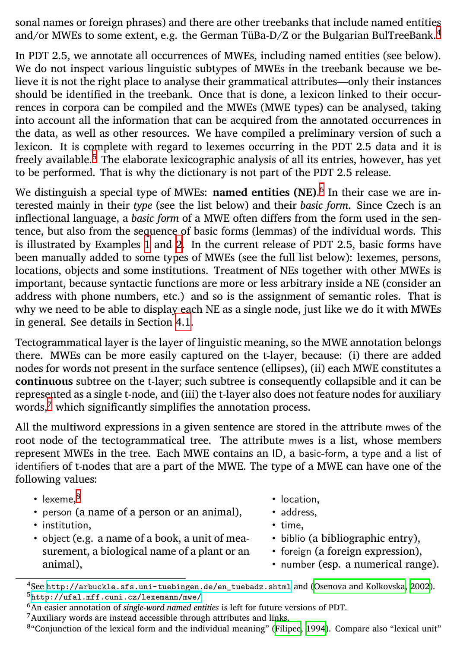sonal names or foreign phrases) and there are other treebanks that include named entities and/or MWEs to some ext[en](#page-5-0)t, e[.](#page-5-1)g. the German TüBa-D/Z or the Bulgarian BulTreeBank.<sup>4</sup>

In PDT 2.5, we annotate all occurrences of MWEs, including named entities (see below). We do not inspect various linguistic subtypes of MWEs in the treebank because we believe it is not the right place to analyse their grammatical attributes—only their instances should be identified in the treebank. Once that is done, a lexicon linked to their occurrences in corpora can be compil[ed a](#page-5-2)nd the MWEs (MWE types) can be analysed, taking into account all the information that can be acquired from the annotated occurrences in the data, as well as other resources. We have compiled a preliminary version of such a lexicon. It is complete with regard to lexemes occurring in the PDT 2.5 data and it is freely available.<sup>5</sup> The elaborate lexicographic analysis of all its entries, however, has yet to be performed. That is why the dictionary is not part of the PDT 2.5 release.

We di[sti](#page-4-0)nguish a special type of MWEs: **named entities (NE)**. 6 In their case we are interested mainly in their *type* (see the list below) and their *basic form*. Since Czech is an inflectional language, a *basic form* of a MWE often differs from the form used in the sentence, but also from the sequence of basic forms (lemmas) of the individual words. This is illustrated by Examples 1 and 2. In the current release of PDT 2.5, basic forms have been manually added to some types of MWEs (see the full list below): lexemes, persons, locations, objects and some institutions. Treatment of NEs together with other MWEs is important, b[ec](#page-4-1)ause syntactic functions are more or less arbitrary inside a NE (consider an address with phone numbers, etc.) and so is the assignment of semantic roles. That is why we need to be able to display each NE as a single node, just like we do it with MWEs in general. See details in Section 4.1.

Tectogrammatical layer is the layer of linguistic meaning, so the MWE annotation belongs there. MWEs can be more easily captured on the t-layer, because: (i) there are added nodes [for words not present in the surface sentence \(ellipse](http://arbuckle.sfs.uni-tuebingen.de/en_tuebadz.shtml)s), [\(ii\) each MWE const](#page-14-6)i[tutes](#page-14-6) a **continuous** [subtree on the t-layer; such](http://ufal.mff.cuni.cz/lexemann/mwe/) subtree is consequently collapsible and it can be represented as a single t-node, and (iii) the t-layer also does not feature nodes for auxiliary words, $\frac{7}{7}$  which significantly simplifies the annotation [process.](#page-14-7)

<span id="page-4-1"></span><span id="page-4-0"></span>All the multiword expressions in a given sentence are stored in the attribute mwes of the root node of the tectogrammatical tree. The attribute mwes is a list, whose members represent MWEs in the tree. Each MWE contains an ID, a basic-form, a type and a list of identifiers of t-nodes that are a part of the MWE. The type of a MWE can have one of the following values:

• lexeme, $^8$ 

- location,
- person (a name of a person or an animal),

surement, a biological name of a plant or an

- address, • time,
- institution, • object (e.g. a name of a book, a unit of mea-

animal),

- biblio (a bibliographic entry),
- foreign (a foreign expression),
- number (esp. a numerical range).

<sup>4</sup>See http://arbuckle.sfs.uni-tuebingen.de/en\_tuebadz.shtml and (Osenova and Kolkovska, 2002). <sup>5</sup>http://ufal.mff.cuni.cz/lexemann/mwe/

<sup>6</sup>An easier annotation of *single-word named entities* is left for future versions of PDT.

<sup>7</sup>Auxiliary words are instead accessible through attributes and links.

<sup>&</sup>lt;sup>8</sup>"Conjunction of the lexical form and the individual meaning" (Filipec, 1994). Compare also "lexical unit"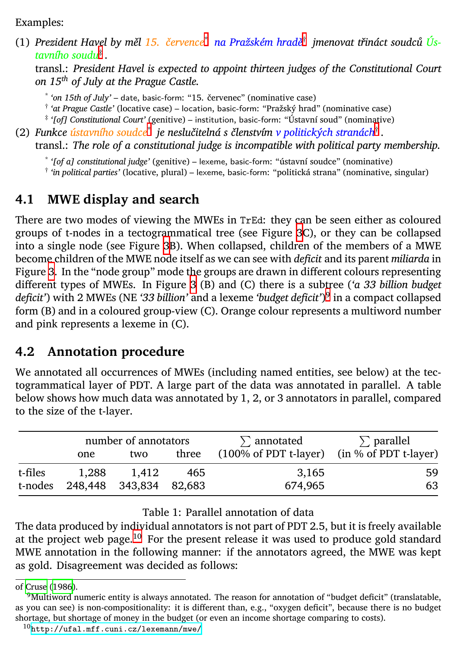<span id="page-5-2"></span><span id="page-5-1"></span><span id="page-5-0"></span>Examples:

(1) *Prezident Havel by měl 15. [č](#page-11-1)ervence*\* *na Pražském hradě*† *jmenovat třináct soudců Ústa[vn](#page-11-1)ího soudu*‡ *.*

transl.: *President Havel is expect[ed](#page-11-1) to appoint thirteen judges of the Constitutional Court on 15th of July at the Prague Castle.*

\* *'on 15th of July'* – date, basic-form: "15. červenec" (nominative case)

† *'at Prague Castle'* (locative case) – location, basic-form: "Pražský hrad" (nominative case)

‡ *'[of] Constitutional Court'* (genitive) – institution, basic-form: "Ústavní soud" (nominative)

(2) *Funkce ústavního soudce*\* *je neslučitelná s členstvím v politických stranách*† *.*

transl.: *The role of a constitutional judge is incompatible with political party membership.*

\* *'[of a] constitutional judge'* (genitive) – lexeme, basic-form: "ústavní soudce" (nominative)

† *'in political parties'* (locative, plural) – lexeme, basic-form: "politická strana" (nominative, singular)

#### **4.1 MWE display and search**

There are two modes of viewing the MWEs in TrEd: they can be seen either as coloured groups of t-nodes in a tectogrammatical tree (see Figure 3C), or they can be collapsed into a single node (see Figure 3B). When collapsed, children of the members of a MWE become children of the MWE node itself as we can see with *deficit* and its parent *miliarda* in Figure 3. In the "node group" mode the groups are drawn in different colours representing different types of MWEs. In Figure 3 (B) and (C) there is a subtree (*'a 33 billion budget deficit'*) with 2 MWEs (NE *'33 billion'* and a lexeme *'budget deficit'*) 9 in a compact collapsed form (B) and in a coloured group-view (C). Orange colour represents a multiword number and pink represents a le[xem](#page-5-3)e in (C).

### **4.2 Annotation procedure**

[We annotate](#page-14-8)d all occurrences of MWEs (including named entities, see below) at the tectogrammatical layer of PDT. A large part of the data was annotated in parallel. A table below shows how much data was annotated by 1, 2, or 3 annotators in parallel, compared to [the size of the t-layer.](http://ufal.mff.cuni.cz/lexemann/mwe/)

<span id="page-5-3"></span>

|         | number of annotators |                        |       | $\Sigma$ annotated                          | $\Sigma$ parallel |
|---------|----------------------|------------------------|-------|---------------------------------------------|-------------------|
|         | one                  | two                    | three | (100% of PDT t-layer) (in % of PDT t-layer) |                   |
| t-files | 1.288                | 1.412                  | 465   | 3,165                                       | 59                |
| t-nodes |                      | 248,448 343,834 82,683 |       | 674.965                                     | 63                |

#### Table 1: Parallel annotation of data

The data produced by individual annotators is not part of PDT 2.5, but it is freely available at the project web page.<sup>10</sup> For the present release it was used to produce gold standard MWE annotation in the following manner: if the annotators agreed, the MWE was kept as gold. Disagreement was decided as follows:

of Cruse (1986).

 $9$ Multiword numeric entity is always annotated. The reason for annotation of "budget deficit" (translatable, as you can see) is non-compositionality: it is different than, e.g., "oxygen deficit", because there is no budget shortage, but shortage of money in the budget (or even an income shortage comparing to costs).

<sup>10</sup>http://ufal.mff.cuni.cz/lexemann/mwe/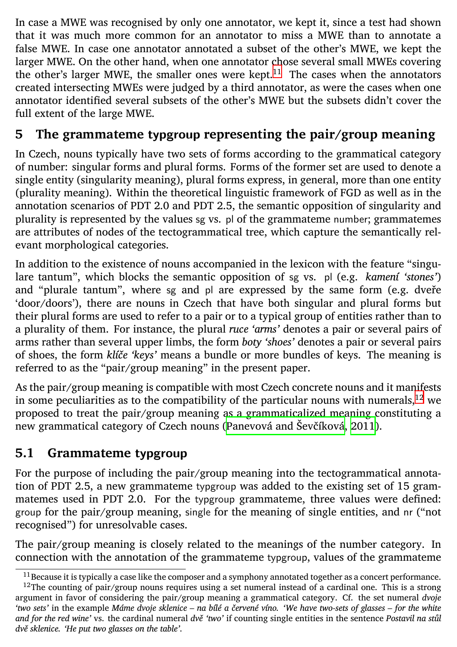<span id="page-6-0"></span>In case a MWE was recognised by only one annotator, we kept it, since a test had shown that it was much more common for an annotator to miss a MWE than to annotate a false MWE. In case one annotator annotated a subset of the other's MWE, we kept the larger MWE. On the other hand, when one annotator chose several small MWEs covering the other's larger MWE, the smaller ones were kept.<sup>11</sup> The cases when the annotators created intersecting MWEs were judged by a third annotator, as were the cases when one annotator identified several subsets of the other's MWE but the subsets didn't cover the full extent of the large MWE.

#### **5 The grammateme typgroup representing the pair/group meaning**

In Czech, nouns typically have two sets of forms according to the grammatical category of number: singular forms and plural forms. Forms of the former set are used to denote a single entity (singularity meaning), plural forms express, in general, more than one [en](#page-6-1)tity (plurality meaning). Within the theoretical linguistic framework of FGD as well as in the annotation scenarios of PDT 2.0 and PDT 2.[5, the semantic opposition of si](#page-15-8)ngularity and plurality is represented by the values sg vs. pl of the grammateme number; grammatemes are attributes of nodes of the tectogrammatical tree, which capture the semantically relevant morphological categories.

In addition to the existence of nouns accompanied in the lexicon with the feature "singulare tantum", which blocks the semantic opposition of sg vs. pl (e.g. *kamení 'stones'*) and "plurale tantum", where sg and pl are expressed by the same form (e.g. dveře 'door/doors'), there are nouns in Czech that have both singular and plural forms but their plural forms are used to refer to a pair or to a typical group of entities rather than to a plurality of them. For instance, the plural *ruce 'arms'* denotes a pair or several pairs of arms rather than several upper limbs, the form *boty 'shoes'* denotes a pair or several pairs of shoes, the form *klíče 'keys'* means a bundle or more bundles of keys. The meaning is referred to as the "pair/group meaning" in the present paper.

<span id="page-6-1"></span>As the pair/group meaning is compatible with most Czech concrete nouns and it manifests in some peculiarities as to the compatibility of the particular nouns with numerals,  $12$  we proposed to treat the pair/group meaning as a grammaticalized meaning constituting a new grammatical category of Czech nouns (Panevová and Ševčíková, 2011).

#### **5.1 Grammateme typgroup**

For the purpose of including the pair/group meaning into the tectogrammatical annotation of PDT 2.5, a new grammateme typgroup was added to the existing set of 15 grammatemes used in PDT 2.0. For the typgroup grammateme, three values were defined: group for the pair/group meaning, single for the meaning of single entities, and nr ("not recognised") for unresolvable cases.

The pair/group meaning is closely related to the meanings of the number category. In connection with the annotation of the grammateme typgroup, values of the grammateme

 $^{11}$  Because it is typically a case like the composer and a symphony annotated together as a concert performance.  $12$ The counting of pair/group nouns requires using a set numeral instead of a cardinal one. This is a strong argument in favor of considering the pair/group meaning a grammatical category. Cf. the set numeral *dvoje 'two sets'* in the example *Máme dvoje sklenice – na bílé a červené víno. 'We have two-sets of glasses – for the white and for the red wine'* vs. the cardinal numeral *dvě 'two'* if counting single entities in the sentence *Postavil na stůl dvě sklenice. 'He put two glasses on the table'*.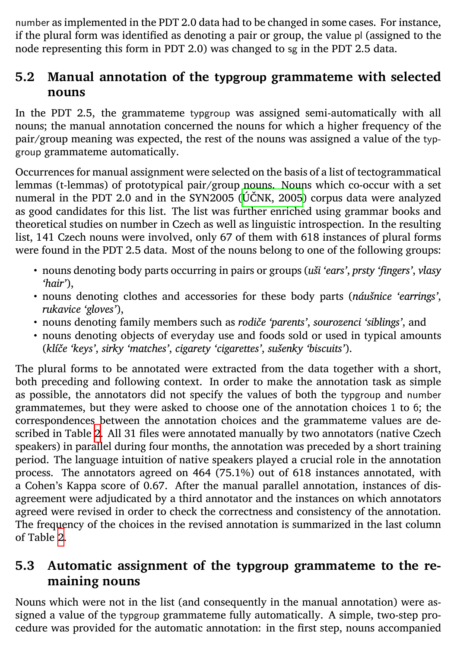number as implemented in the PDT 2.0 data had to be changed in some cases. For instance, if the plural form was identified as denoting a pair or group, the value pl (assigned to the node representing this form in PDT 2.0) was changed to sg in the PDT 2.5 data.

#### **5.2 Manual annotation of the typgroup grammateme with selected nouns**

In the PDT 2.5, the grammateme typgroup was assigned semi-automatically with all nouns; the manual annotation concerned the nouns for which a higher frequency of the pair/group meaning was expected, the rest of the nouns was assigned a value of the typgroup grammateme automatically.

Occurrences for manual assignment were selected on the basis of a list of tectogrammatical lemmas (t-lemmas) of prototypical pair/group nouns. Nouns which co-occur with a set numeral in the PDT 2.0 and in the SYN2005 (ÚČNK, 2005) corpus data were analyzed as good candidates for this list. The list was further enriched using grammar books and theoretical studi[es](#page-8-1) on number in Czech as well as linguistic introspection. In the resulting list, 141 Czech nouns were involved, only 67 of them with 618 instances of plural forms were found in the PDT 2.5 data. Most of the nouns belong to one of the following groups:

- nouns denoting body parts occurring in pairs or groups (*uši 'ears'*, *prsty 'fingers'*, *vlasy 'hair'*),
- nouns denoting clothes and accessories for these body parts (*náušnice 'earrings'*, *rukavice 'gloves'*),
- no[un](#page-8-1)s denoting family members such as *rodiče 'parents'*, *sourozenci 'siblings'*, and
- nouns denoting objects of everyday use and foods sold or used in typical amounts (*klíče 'keys'*, *sirky 'matches'*, *cigarety 'cigarettes'*, *sušenky 'biscuits'*).

The plural forms to be annotated were extracted from the data together with a short, both preceding and following context. In order to make the annotation task as simple as possible, the annotators did not specify the values of both the typgroup and number grammatemes, but they were asked to choose one of the annotation choices 1 to 6; the correspondences between the annotation choices and the grammateme values are described in Table 2. All 31 files were annotated manually by two annotators (native Czech speakers) in parallel during four months, the annotation was preceded by a short training period. The language intuition of native speakers played a crucial role in the annotation process. The annotators agreed on 464 (75.1%) out of 618 instances annotated, with a Cohen's Kappa score of 0.67. After the manual parallel annotation, instances of disagreement were adjudicated by a third annotator and the instances on which annotators agreed were revised in order to check the correctness and consistency of the annotation. The frequency of the choices in the revised annotation is summarized in the last column of Table 2.

#### **5.3 Automatic assignment of the typgroup grammateme to the remaining nouns**

Nouns which were not in the list (and consequently in the manual annotation) were assigned a value of the typgroup grammateme fully automatically. A simple, two-step procedure was provided for the automatic annotation: in the first step, nouns accompanied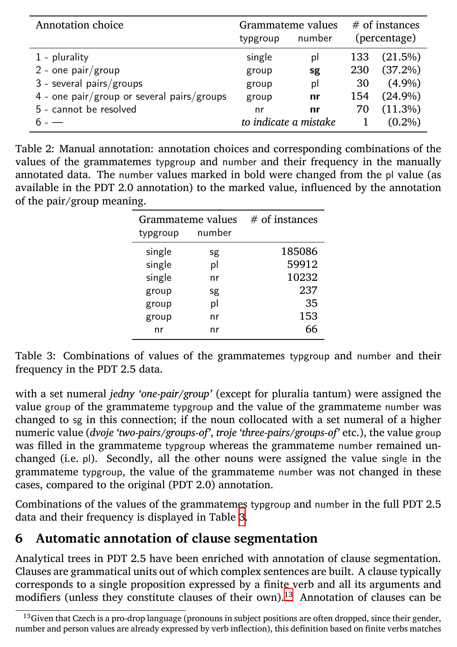<span id="page-8-1"></span>

| Annotation choice                          | Grammateme values |                       | $#$ of instances |              |
|--------------------------------------------|-------------------|-----------------------|------------------|--------------|
|                                            | typgroup          | number                |                  | (percentage) |
| $1$ - plurality                            | single            | pl                    | 133              | (21.5%)      |
| $2$ - one pair/group                       | group             | sg                    | 230              | (37.2%)      |
| 3 - several pairs/groups                   | group             | pl                    | 30               | $(4.9\%)$    |
| 4 - one pair/group or several pairs/groups | group             | nr                    | 154              | $(24.9\%)$   |
| 5 - cannot be resolved                     | nr                | nr                    | 70               | (11.3%)      |
|                                            |                   | to indicate a mistake |                  | $(0.2\%)$    |

Table 2: Manual annotation: annotation choices and corresponding combinations of the values of the grammatemes typgroup and number and their frequency in the manually annotated data. The number values marked in bold were changed from the pl value (as available in the PDT 2.0 annotation) to the marked value, influenced by the annotation of the pair/group meaning.

| Grammateme values |        | $#$ of instances |
|-------------------|--------|------------------|
| typgroup          | number |                  |
| single            | sg     | 185086           |
| single            | pl     | 59912            |
| single            | nr     | 10232            |
| group             | sg     | 237              |
| group             | pl     | 35               |
| group             | nr     | 153              |
| nr                | nr     | 66               |

<span id="page-8-0"></span>Table 3: Combinations of values of the grammatemes typgroup and number and their frequency in the PDT 2.5 data.

with a set numeral *jedny 'one-pair/group'* (except for pluralia tantum) were assigned the value group of the grammateme typgroup and the value of the grammateme number was changed to sg in this connection; if the noun collocated with a set numeral of a higher numeric value (*dvoje 'two-pairs/groups-of'*, *troje 'three-pairs/groups-of'* etc.), the value group was filled in the grammateme typgroup whereas the grammateme number remained unchanged (i.e. pl). Secondly, all the other nouns were assigned the value single in the grammateme typgroup, the value of the grammateme number was not changed in these cases, compared to the original (PDT 2.0) annotation.

Combinations of the values of the grammatemes typgroup and number in the full PDT 2.5 data and their frequency is displayed in Table 3.

### **6 Automatic annotation of clause segmentation**

Analytical trees in PDT 2.5 have been enriched with annotation of clause segmentation. Clauses are grammatical units out of which complex sentences are built. A clause typically corresponds to a single proposition expressed by a finite verb and all its arguments and modifiers (unless they constitute clauses of their own).<sup>13</sup> Annotation of clauses can be

<sup>&</sup>lt;sup>13</sup>Given that Czech is a pro-drop language (pronouns in subject positions are often dropped, since their gender, number and person values are already expressed by verb inflection), this definition based on finite verbs matches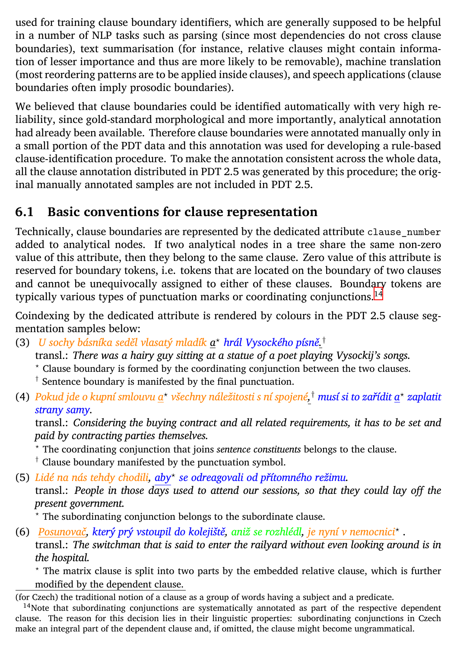used for training clause boundary identifiers, which are generally supposed to be helpful in a number of NLP tasks such as parsing (since most dependencies do not cross clause boundaries), text summarisation (for instance, relative clauses might contain information of lesser importance and thus are more likely to be removable), machine translation (most reordering patterns are to be applied inside clauses), and speech appli[cat](#page-9-0)ions (clause boundaries often imply prosodic boundaries).

We believed that clause boundaries could be identified automatically with very high reliability, since gold-standard morphological and more importantly, analytical annotation had already been available. Therefore clause boundaries were annotated manually only in a small portion of the PDT data and this annotation was used for developing a rule-based clause-identification procedure. To make the annotation consistent across the whole data, all the clause annotation distributed in PDT 2.5 was generated by this procedure; the original manually annotated samples are not included in PDT 2.5.

#### **6.1 Basic conventions for clause representation**

Technically, clause boundaries are represented by the dedicated attribute clause\_number added to analytical nodes. If two analytical nodes in a tree share the same non-zero value of this attribute, then they belong to the same clause. Zero value of this attribute is reserved for boundary tokens, i.e. tokens that are located on the boundary of two clauses and cannot be unequivocally assigned to either of these clauses. Boundary tokens are typically various types of punctuation marks or coordinating conjunctions.<sup>14</sup>

Coindexing by the dedicated attribute is rendered by colours in the PDT 2.5 clause segmentation samples below:

- (3) *U sochy básníka seděl vlasatý mladík a <sup>⋆</sup> hrál Vysockého písně. †*
	- transl.: *There was a hairy guy sitting at a statue of a poet playing Vysockij's songs.*
	- *<sup>⋆</sup>* Clause boundary is formed by the coordinating conjunction between the two clauses.
	- *†* Sentence boundary is manifested by the final punctuation.

<span id="page-9-0"></span>(4) *Pokud jde o kupní smlouvu a<sup>⋆</sup> všechny náležitosti s ní spojené, † musí si to zařídit a<sup>⋆</sup> zaplatit strany samy.*

transl.: *Considering the buying contract and all related requirements, it has to be set and paid by contracting parties themselves.*

- *<sup>⋆</sup>* The coordinating conjunction that joins *sentence constituents* belongs to the clause.
- *†* Clause boundary manifested by the punctuation symbol.
- (5) *Lidé na nás tehdy chodili, aby<sup>⋆</sup> se odreagovali od přítomného režimu.*

transl.: *People in those days used to attend our sessions, so that they could lay off the present government.*

- *<sup>⋆</sup>* The subordinating conjunction belongs to the subordinate clause.
- (6) *Posunovač, který prý vstoupil do kolejiště, aniž se rozhlédl, je nyní v nemocnici<sup>⋆</sup> .*

transl.: *The switchman that is said to enter the railyard without even looking around is in the hospital.*

*<sup>⋆</sup>* The matrix clause is split into two parts by the embedded relative clause, which is further modified by the dependent clause.

<sup>14</sup>Note that subordinating conjunctions are systematically annotated as part of the respective dependent clause. The reason for this decision lies in their linguistic properties: subordinating conjunctions in Czech make an integral part of the dependent clause and, if omitted, the clause might become ungrammatical.

<sup>(</sup>for Czech) the traditional notion of a clause as a group of words having a subject and a predicate.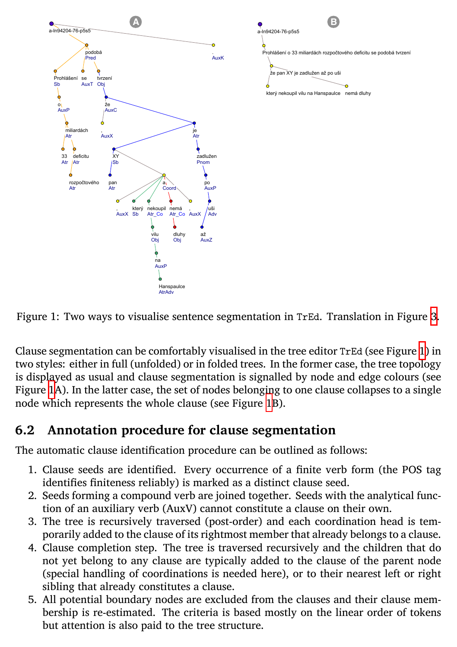



Clause segmentation can be comfortably visualised in the tree editor TrEd (see Figure 1) in two styles: either in full (unfolded) or in folded trees. In the former case, the tree topology is displayed as usual and clause segmentation is signalled by node and edge colours (see Figure 1A). In the latter case, the set of nodes belonging to one clause collapses to a single node which represents the whole clause (see Figure 1B).

#### **6.2 Annotation procedure for clause segmentation**

The automatic clause identification procedure can be outlined as follows:

- 1. Clause seeds are identified. Every occurrence of a finite verb form (the POS tag identifies finiteness reliably) is marked as a distinct clause seed.
- 2. Seeds forming a compound verb are joined together. Seeds with the analytical function of an auxiliary verb (AuxV) cannot constitute a clause on their own.
- 3. The tree is recursively traversed (post-order) and each coordination head is temporarily added to the clause of its rightmost member that already belongs to a clause.
- 4. Clause completion step. The tree is traversed recursively and the children that do not yet belong to any clause are typically added to the clause of the parent node (special handling of coordinations is needed here), or to their nearest left or right sibling that already constitutes a clause.
- 5. All potential boundary nodes are excluded from the clauses and their clause membership is re-estimated. The criteria is based mostly on the linear order of tokens but attention is also paid to the tree structure.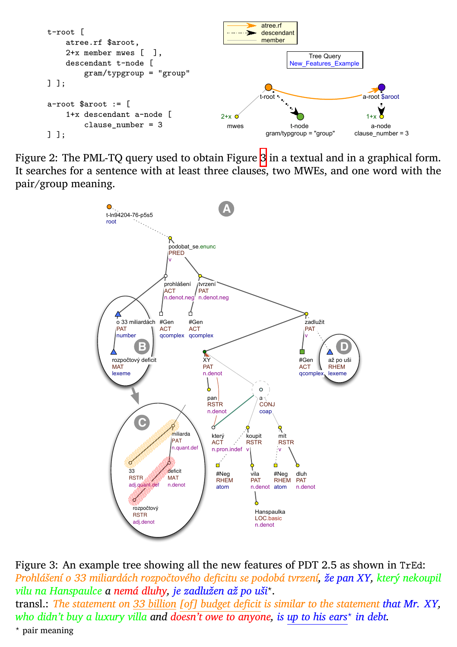<span id="page-11-0"></span>

Figure 2: The PML-TQ query used to obtain Figure 3 in a textual and in a graphical form. It searches for a sentence with at least three clauses, two MWEs, and one word with the pair/group meaning.

<span id="page-11-1"></span>

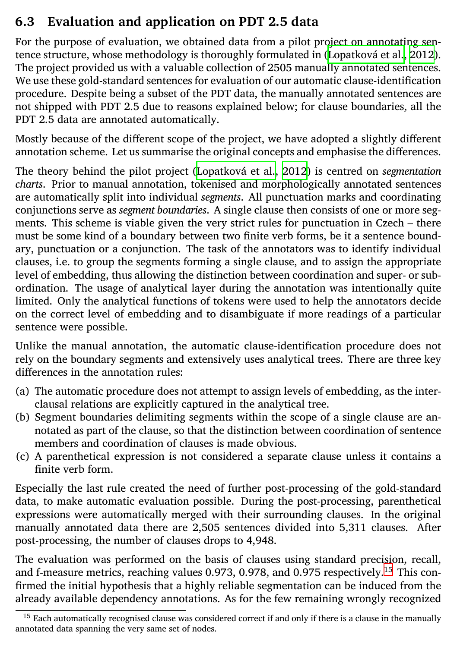#### **6.3 Evaluation and application on PDT 2.5 data**

For the purpose of evaluation, we obtained data from a pilot project on annotating sentence structure, whose methodology is thoroughly formulated in (Lopatková et al., 2012). The project provided us with a valuable collection of 2505 manually annotated sentences. We use these gold-standard sentences for evaluation of our automatic clause-identification procedure. Despite being a subset of the PDT data, the manually annotated sentences are not shipped with PDT 2.5 due to reasons explained below; for clause boundaries, all the PDT 2.5 data are annotated automatically.

Mostly because of the different scope of the project, we have adopted a slightly different annotation scheme. Let us summarise the original concepts and emphasise the differences.

The theory behind the pilot project (Lopatková et al., 2012) is centred on *segmentation charts*. Prior to manual annotation, tokenised and morphologically annotated sentences are automatically split into individual *segments*. All punctuation marks and coordinating conjunctions serve as *segment boundaries*. A single clause then consists of one or more segments. This scheme is viable given the very strict rules for punctuation in Czech – there must be some kind of a boundary between two finite verb forms, be it a sentence boundary, punctuation or a conjunction. The task of the annotators was to identify individual clauses, i.e. to group the segments forming a single clause, and to assign the appropriate level of embedding, thus allowing the distinction between coordination and super- or subordination. The usage of analytical layer during the annotation was intentionally quite limited. Only the analytical functions of tokens were used to help the annotators decide on the correct level of embedding and to disambiguate if more readings of a particular sentence were possible.

Unlike the manual annotation, the automatic clause-identification procedure does not rely on the boundary segments and extensively uses analytical trees. Therea[re](#page-12-0) three key differences in the annotation rules:

- <span id="page-12-0"></span>(a) The automatic procedure does not attempt to assign levels of embedding, as the interclausal relations are explicitly captured in the analytical tree.
- (b) Segment boundaries delimiting segments within the scope of a single clause are annotated as part of the clause, so that the distinction between coordination of sentence members and coordination of clauses is made obvious.
- (c) A parenthetical expression is not considered a separate clause unless it contains a finite verb form.

Especially the last rule created the need of further post-processing of the gold-standard data, to make automatic evaluation possible. During the post-processing, parenthetical expressions were automatically merged with their surrounding clauses. In the original manually annotated data there are 2,505 sentences divided into 5,311 clauses. After post-processing, the number of clauses drops to 4,948.

The evaluation was performed on the basis of clauses using standard precision, recall, and f-measure metrics, reaching values 0.973, 0.978, and 0.975 respectively.<sup>15</sup> This confirmed the initial hypothesis that a highly reliable segmentation can be induced from the already available dependency annotations. As for the few remaining wrongly recognized

<sup>&</sup>lt;sup>15</sup> Each automatically recognised clause was considered correct if and only if there is a clause in the manually annotated data spanning the very same set of nodes.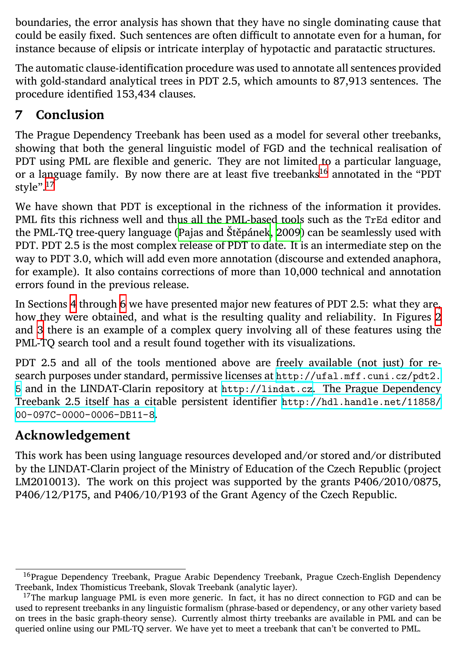<span id="page-13-0"></span>boundaries, the error analysis has [shown that they have no](#page-15-3) single dominating cause that could be easily fixed. Such sentences are often difficult to annotate even for a human, for instance because of elipsis or intricate interplay of hypotactic and paratactic structures.

The automatic clause-identification procedure was used to annotate all sentences provided with gold-standard analytical trees in PDT 2.5, which amounts to 87,913 sentences. The procedure [id](#page-3-0)entified [15](#page-8-0)3,434 clauses.

#### **7 [C](#page-11-1)onclusion**

The Prague Dependency Treebank has been used as a model for several other treebanks, showing that both the general linguistic model of FGD and the technical realisation of PDT using PML are flexible and generic. They are no[t limited to a particular language,](http://ufal.mff.cuni.cz/pdt2.5) [o](http://ufal.mff.cuni.cz/pdt2.5)r a language family. By now there are at [least five treebank](http://lindat.cz)s<sup>16</sup> [annotated in the "PDT](http://hdl.handle.net/11858/00-097C-0000-0006-DB11-8) style".<sup>17</sup>

[We have shown that PDT is](http://hdl.handle.net/11858/00-097C-0000-0006-DB11-8) exceptional in the richness of the information it provides. PML fits this richness well and thus all the PML-based tools such as the TrEd editor and the PML-TQ tree-query language (Pajas and Štěpánek, 2009) can be seamlessly used with PDT. PDT 2.5 is the most complex release of PDT to date. It is an intermediate step on the way to PDT 3.0, which will add even more annotation (discourse and extended anaphora, for example). It also contains corrections of more than 10,000 technical and annotation errors found in the previous release.

In Sections 4 through 6 we have presented major new features of PDT 2.5: what they are, how they were obtained, and what is the resulting quality and reliability. In Figures 2 and 3 there is an example of a complex query involving all of these features using the PML-TQ search tool and a result found together with its visualizations.

PDT 2.5 and all of the tools mentioned above are freely available (not just) for research purposes under standard, permissive licenses at http://ufal.mff.cuni.cz/pdt2. 5 and in the LINDAT-Clarin repository at http://lindat.cz. The Prague Dependency Treebank 2.5 itself has a citable persistent identifier http://hdl.handle.net/11858/ 00-097C-0000-0006-DB11-8.

#### **Acknowledgement**

This work has been using language resources developed and/or stored and/or distributed by the LINDAT-Clarin project of the Ministry of Education of the Czech Republic (project LM2010013). The work on this project was supported by the grants P406/2010/0875, P406/12/P175, and P406/10/P193 of the Grant Agency of the Czech Republic.

<sup>&</sup>lt;sup>16</sup>Prague Dependency Treebank, Prague Arabic Dependency Treebank, Prague Czech-English Dependency Treebank, Index Thomisticus Treebank, Slovak Treebank (analytic layer).

<sup>&</sup>lt;sup>17</sup>The markup language PML is even more generic. In fact, it has no direct connection to FGD and can be used to represent treebanks in any linguistic formalism (phrase-based or dependency, or any other variety based on trees in the basic graph-theory sense). Currently almost thirty treebanks are available in PML and can be queried online using our PML-TQ server. We have yet to meet a treebank that can't be converted to PML.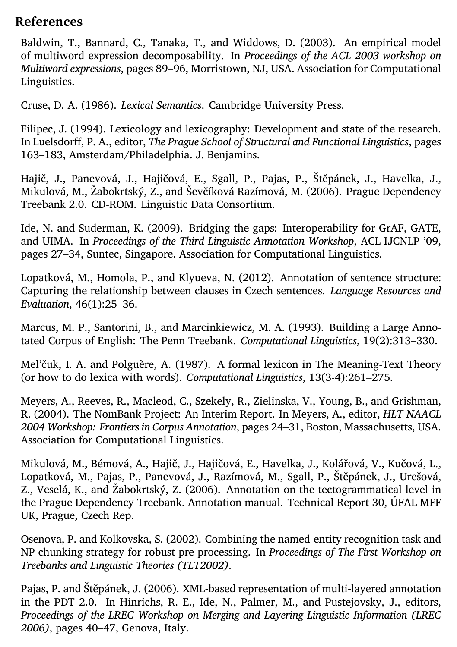#### **References**

<span id="page-14-4"></span>Baldwin, T., Bannard, C., Tanaka, T., and Widdows, D. (2003). An empirical model of multiword expression decomposability. In *Proceedings of the ACL 2003 workshop on Multiword expressions*, pages 89–96, Morristown, NJ, USA. Association for Computational Linguistics.

<span id="page-14-8"></span>Cruse, D. A. (1986). *Lexical Semantics*. Cambridge University Press.

<span id="page-14-7"></span>Filipec, J. (1994). Lexicology and lexicography: Development and state of the research. In Luelsdorff, P. A., editor, *The Prague School of Structural and Functional Linguistics*, pages 163–183, Amsterdam/Philadelphia. J. Benjamins.

<span id="page-14-0"></span>Hajič, J., Panevová, J., Hajičová, E., Sgall, P., Pajas, P., Štěpánek, J., Havelka, J., Mikulová, M., Žabokrtský, Z., and Ševčíková Razímová, M. (2006). Prague Dependency Treebank 2.0. CD-ROM. Linguistic Data Consortium.

<span id="page-14-3"></span>Ide, N. and Suderman, K. (2009). Bridging the gaps: Interoperability for GrAF, GATE, and UIMA. In *Proceedings of the Third Linguistic Annotation Workshop*, ACL-IJCNLP '09, pages 27–34, Suntec, Singapore. Association for Computational Linguistics.

Lopatková, M., Homola, P., and Klyueva, N. (2012). Annotation of sentence structure: Capturing the relationship between clauses in Czech sentences. *Language Resources and Evaluation*, 46(1):25–36.

Marcus, M. P., Santorini, B., and Marcinkiewicz, M. A. (1993). Building a Large Annotated Corpus of English: The Penn Treebank. *Computational Linguistics*, 19(2):313–330.

<span id="page-14-5"></span>Mel'čuk, I. A. and Polguère, A. (1987). A formal lexicon in The Meaning-Text Theory (or how to do lexica with words). *Computational Linguistics*, 13(3-4):261–275.

<span id="page-14-2"></span>Meyers, A., Reeves, R., Macleod, C., Szekely, R., Zielinska, V., Young, B., and Grishman, R. (2004). The NomBank Project: An Interim Report. In Meyers, A., editor, *HLT-NAACL 2004 Workshop: Frontiers in Corpus Annotation*, pages 24–31, Boston, Massachusetts, USA. Association for Computational Linguistics.

Mikulová, M., Bémová, A., Hajič, J., Hajičová, E., Havelka, J., Kolářová, V., Kučová, L., Lopatková, M., Pajas, P., Panevová, J., Razímová, M., Sgall, P., Štěpánek, J., Urešová, Z., Veselá, K., and Žabokrtský, Z. (2006). Annotation on the tectogrammatical level in the Prague Dependency Treebank. Annotation manual. Technical Report 30, ÚFAL MFF UK, Prague, Czech Rep.

<span id="page-14-6"></span>Osenova, P. and Kolkovska, S. (2002). Combining the named-entity recognition task and NP chunking strategy for robust pre-processing. In *Proceedings of The First Workshop on Treebanks and Linguistic Theories (TLT2002)*.

<span id="page-14-1"></span>Pajas, P. and Štěpánek, J. (2006). XML-based representation of multi-layered annotation in the PDT 2.0. In Hinrichs, R. E., Ide, N., Palmer, M., and Pustejovsky, J., editors, *Proceedings of the LREC Workshop on Merging and Layering Linguistic Information (LREC 2006)*, pages 40–47, Genova, Italy.